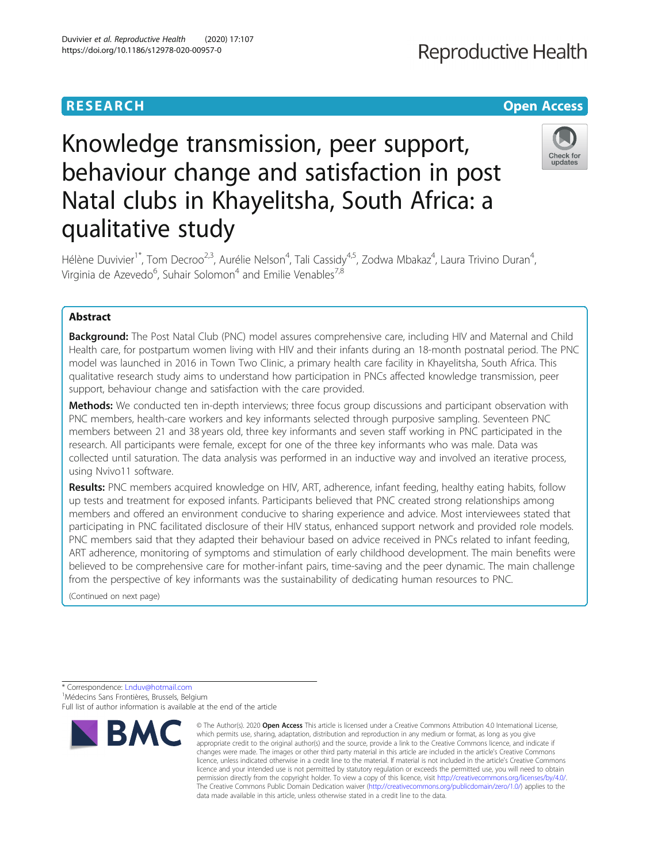### **RESEARCH CHE Open Access**

## **Reproductive Health**

,

### Check for updates

# Knowledge transmission, peer support, behaviour change and satisfaction in post Natal clubs in Khayelitsha, South Africa: a qualitative study

Hélène Duvivier<sup>1\*</sup>, Tom Decroo<sup>2,3</sup>, Aurélie Nelson<sup>4</sup>, Tali Cassidy<sup>4,5</sup>, Zodwa Mbakaz<sup>4</sup>, Laura Trivino Duran<sup>4</sup> Virginia de Azevedo $^6$ , Suhair Solomon $^4$  and Emilie Venables $^{7,8}$ 

#### Abstract

**Background:** The Post Natal Club (PNC) model assures comprehensive care, including HIV and Maternal and Child Health care, for postpartum women living with HIV and their infants during an 18-month postnatal period. The PNC model was launched in 2016 in Town Two Clinic, a primary health care facility in Khayelitsha, South Africa. This qualitative research study aims to understand how participation in PNCs affected knowledge transmission, peer support, behaviour change and satisfaction with the care provided.

Methods: We conducted ten in-depth interviews; three focus group discussions and participant observation with PNC members, health-care workers and key informants selected through purposive sampling. Seventeen PNC members between 21 and 38 years old, three key informants and seven staff working in PNC participated in the research. All participants were female, except for one of the three key informants who was male. Data was collected until saturation. The data analysis was performed in an inductive way and involved an iterative process, using Nvivo11 software.

Results: PNC members acquired knowledge on HIV, ART, adherence, infant feeding, healthy eating habits, follow up tests and treatment for exposed infants. Participants believed that PNC created strong relationships among members and offered an environment conducive to sharing experience and advice. Most interviewees stated that participating in PNC facilitated disclosure of their HIV status, enhanced support network and provided role models. PNC members said that they adapted their behaviour based on advice received in PNCs related to infant feeding, ART adherence, monitoring of symptoms and stimulation of early childhood development. The main benefits were believed to be comprehensive care for mother-infant pairs, time-saving and the peer dynamic. The main challenge from the perspective of key informants was the sustainability of dedicating human resources to PNC.

(Continued on next page)

<sup>\*</sup> Correspondence: [Lnduv@hotmail.com](mailto:Lnduv@hotmail.com) <sup>1</sup> Médecins Sans Frontières, Brussels, Belgium Full list of author information is available at the end of the article



<sup>©</sup> The Author(s), 2020 **Open Access** This article is licensed under a Creative Commons Attribution 4.0 International License, which permits use, sharing, adaptation, distribution and reproduction in any medium or format, as long as you give appropriate credit to the original author(s) and the source, provide a link to the Creative Commons licence, and indicate if changes were made. The images or other third party material in this article are included in the article's Creative Commons licence, unless indicated otherwise in a credit line to the material. If material is not included in the article's Creative Commons licence and your intended use is not permitted by statutory regulation or exceeds the permitted use, you will need to obtain permission directly from the copyright holder. To view a copy of this licence, visit [http://creativecommons.org/licenses/by/4.0/.](http://creativecommons.org/licenses/by/4.0/) The Creative Commons Public Domain Dedication waiver [\(http://creativecommons.org/publicdomain/zero/1.0/](http://creativecommons.org/publicdomain/zero/1.0/)) applies to the data made available in this article, unless otherwise stated in a credit line to the data.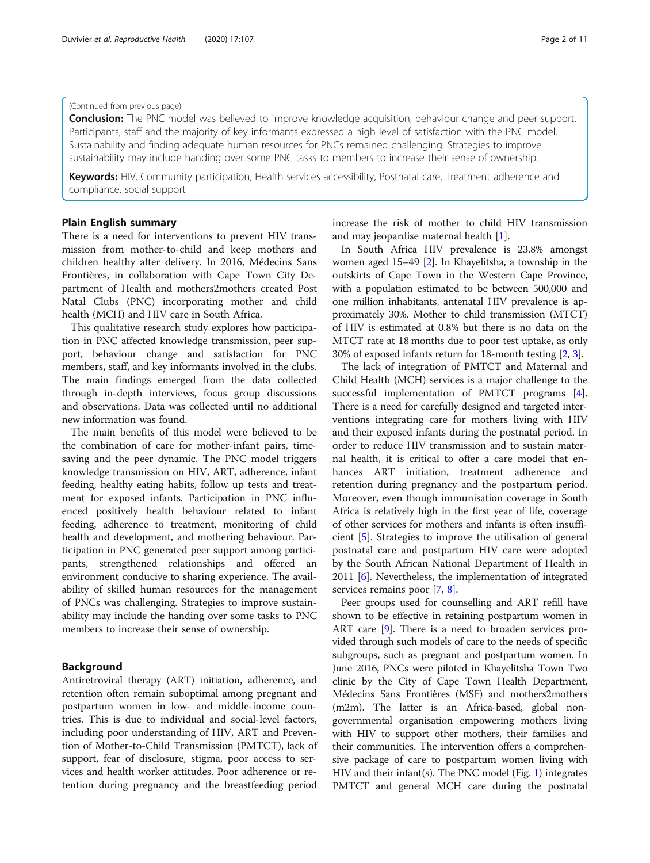#### (Continued from previous page)

**Conclusion:** The PNC model was believed to improve knowledge acquisition, behaviour change and peer support. Participants, staff and the majority of key informants expressed a high level of satisfaction with the PNC model. Sustainability and finding adequate human resources for PNCs remained challenging. Strategies to improve sustainability may include handing over some PNC tasks to members to increase their sense of ownership.

Keywords: HIV, Community participation, Health services accessibility, Postnatal care, Treatment adherence and compliance, social support

#### Plain English summary

There is a need for interventions to prevent HIV transmission from mother-to-child and keep mothers and children healthy after delivery. In 2016, Médecins Sans Frontières, in collaboration with Cape Town City Department of Health and mothers2mothers created Post Natal Clubs (PNC) incorporating mother and child health (MCH) and HIV care in South Africa.

This qualitative research study explores how participation in PNC affected knowledge transmission, peer support, behaviour change and satisfaction for PNC members, staff, and key informants involved in the clubs. The main findings emerged from the data collected through in-depth interviews, focus group discussions and observations. Data was collected until no additional new information was found.

The main benefits of this model were believed to be the combination of care for mother-infant pairs, timesaving and the peer dynamic. The PNC model triggers knowledge transmission on HIV, ART, adherence, infant feeding, healthy eating habits, follow up tests and treatment for exposed infants. Participation in PNC influenced positively health behaviour related to infant feeding, adherence to treatment, monitoring of child health and development, and mothering behaviour. Participation in PNC generated peer support among participants, strengthened relationships and offered an environment conducive to sharing experience. The availability of skilled human resources for the management of PNCs was challenging. Strategies to improve sustainability may include the handing over some tasks to PNC members to increase their sense of ownership.

#### Background

Antiretroviral therapy (ART) initiation, adherence, and retention often remain suboptimal among pregnant and postpartum women in low- and middle-income countries. This is due to individual and social-level factors, including poor understanding of HIV, ART and Prevention of Mother-to-Child Transmission (PMTCT), lack of support, fear of disclosure, stigma, poor access to services and health worker attitudes. Poor adherence or retention during pregnancy and the breastfeeding period

increase the risk of mother to child HIV transmission and may jeopardise maternal health [\[1](#page-9-0)].

In South Africa HIV prevalence is 23.8% amongst women aged 15–49 [[2\]](#page-9-0). In Khayelitsha, a township in the outskirts of Cape Town in the Western Cape Province, with a population estimated to be between 500,000 and one million inhabitants, antenatal HIV prevalence is approximately 30%. Mother to child transmission (MTCT) of HIV is estimated at 0.8% but there is no data on the MTCT rate at 18 months due to poor test uptake, as only 30% of exposed infants return for 18-month testing [\[2](#page-9-0), [3\]](#page-9-0).

The lack of integration of PMTCT and Maternal and Child Health (MCH) services is a major challenge to the successful implementation of PMTCT programs [\[4](#page-9-0)]. There is a need for carefully designed and targeted interventions integrating care for mothers living with HIV and their exposed infants during the postnatal period. In order to reduce HIV transmission and to sustain maternal health, it is critical to offer a care model that enhances ART initiation, treatment adherence and retention during pregnancy and the postpartum period. Moreover, even though immunisation coverage in South Africa is relatively high in the first year of life, coverage of other services for mothers and infants is often insufficient [\[5](#page-9-0)]. Strategies to improve the utilisation of general postnatal care and postpartum HIV care were adopted by the South African National Department of Health in 2011 [[6\]](#page-9-0). Nevertheless, the implementation of integrated services remains poor [[7,](#page-9-0) [8\]](#page-9-0).

Peer groups used for counselling and ART refill have shown to be effective in retaining postpartum women in ART care [\[9\]](#page-9-0). There is a need to broaden services provided through such models of care to the needs of specific subgroups, such as pregnant and postpartum women. In June 2016, PNCs were piloted in Khayelitsha Town Two clinic by the City of Cape Town Health Department, Médecins Sans Frontières (MSF) and mothers2mothers (m2m). The latter is an Africa-based, global nongovernmental organisation empowering mothers living with HIV to support other mothers, their families and their communities. The intervention offers a comprehensive package of care to postpartum women living with HIV and their infant(s). The PNC model (Fig. [1](#page-2-0)) integrates PMTCT and general MCH care during the postnatal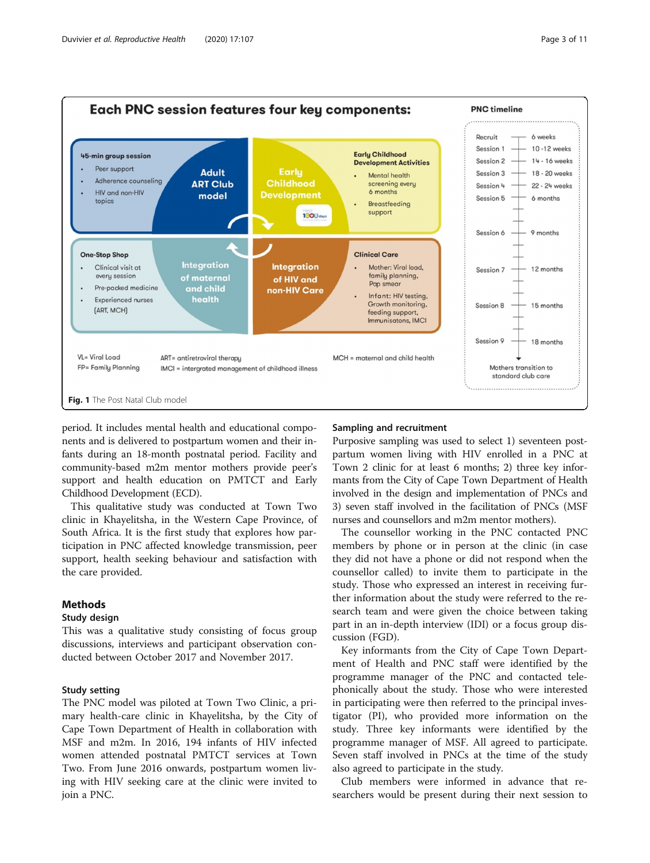<span id="page-2-0"></span>

period. It includes mental health and educational components and is delivered to postpartum women and their infants during an 18-month postnatal period. Facility and community-based m2m mentor mothers provide peer's support and health education on PMTCT and Early Childhood Development (ECD).

This qualitative study was conducted at Town Two clinic in Khayelitsha, in the Western Cape Province, of South Africa. It is the first study that explores how participation in PNC affected knowledge transmission, peer support, health seeking behaviour and satisfaction with the care provided.

#### **Methods**

#### Study design

This was a qualitative study consisting of focus group discussions, interviews and participant observation conducted between October 2017 and November 2017.

#### Study setting

The PNC model was piloted at Town Two Clinic, a primary health-care clinic in Khayelitsha, by the City of Cape Town Department of Health in collaboration with MSF and m2m. In 2016, 194 infants of HIV infected women attended postnatal PMTCT services at Town Two. From June 2016 onwards, postpartum women living with HIV seeking care at the clinic were invited to join a PNC.

#### Sampling and recruitment

Purposive sampling was used to select 1) seventeen postpartum women living with HIV enrolled in a PNC at Town 2 clinic for at least 6 months; 2) three key informants from the City of Cape Town Department of Health involved in the design and implementation of PNCs and 3) seven staff involved in the facilitation of PNCs (MSF nurses and counsellors and m2m mentor mothers).

The counsellor working in the PNC contacted PNC members by phone or in person at the clinic (in case they did not have a phone or did not respond when the counsellor called) to invite them to participate in the study. Those who expressed an interest in receiving further information about the study were referred to the research team and were given the choice between taking part in an in-depth interview (IDI) or a focus group discussion (FGD).

Key informants from the City of Cape Town Department of Health and PNC staff were identified by the programme manager of the PNC and contacted telephonically about the study. Those who were interested in participating were then referred to the principal investigator (PI), who provided more information on the study. Three key informants were identified by the programme manager of MSF. All agreed to participate. Seven staff involved in PNCs at the time of the study also agreed to participate in the study.

Club members were informed in advance that researchers would be present during their next session to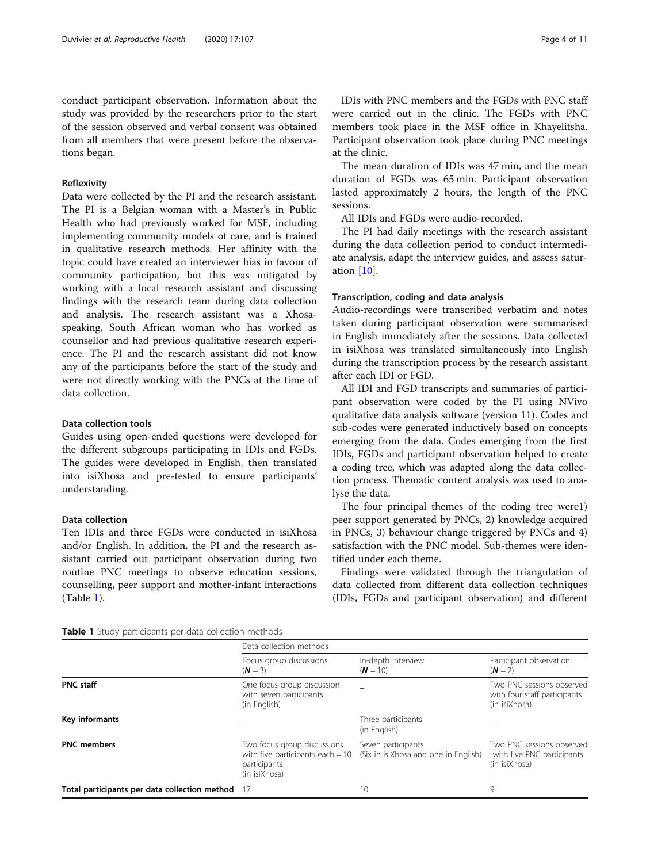conduct participant observation. Information about the study was provided by the researchers prior to the start of the session observed and verbal consent was obtained from all members that were present before the observations began.

#### Reflexivity

Data were collected by the PI and the research assistant. The PI is a Belgian woman with a Master's in Public Health who had previously worked for MSF, including implementing community models of care, and is trained in qualitative research methods. Her affinity with the topic could have created an interviewer bias in favour of community participation, but this was mitigated by working with a local research assistant and discussing findings with the research team during data collection and analysis. The research assistant was a Xhosaspeaking, South African woman who has worked as counsellor and had previous qualitative research experience. The PI and the research assistant did not know any of the participants before the start of the study and were not directly working with the PNCs at the time of data collection.

#### Data collection tools

Guides using open-ended questions were developed for the different subgroups participating in IDIs and FGDs. The guides were developed in English, then translated into isiXhosa and pre-tested to ensure participants' understanding.

#### Data collection

Ten IDIs and three FGDs were conducted in isiXhosa and/or English. In addition, the PI and the research assistant carried out participant observation during two routine PNC meetings to observe education sessions, counselling, peer support and mother-infant interactions (Table 1).

IDIs with PNC members and the FGDs with PNC staff were carried out in the clinic. The FGDs with PNC members took place in the MSF office in Khayelitsha. Participant observation took place during PNC meetings at the clinic.

The mean duration of IDIs was 47 min, and the mean duration of FGDs was 65 min. Participant observation lasted approximately 2 hours, the length of the PNC sessions.

All IDIs and FGDs were audio-recorded.

The PI had daily meetings with the research assistant during the data collection period to conduct intermediate analysis, adapt the interview guides, and assess saturation [\[10](#page-9-0)].

#### Transcription, coding and data analysis

Audio-recordings were transcribed verbatim and notes taken during participant observation were summarised in English immediately after the sessions. Data collected in isiXhosa was translated simultaneously into English during the transcription process by the research assistant after each IDI or FGD.

All IDI and FGD transcripts and summaries of participant observation were coded by the PI using NVivo qualitative data analysis software (version 11). Codes and sub-codes were generated inductively based on concepts emerging from the data. Codes emerging from the first IDIs, FGDs and participant observation helped to create a coding tree, which was adapted along the data collection process. Thematic content analysis was used to analyse the data.

The four principal themes of the coding tree were1) peer support generated by PNCs, 2) knowledge acquired in PNCs, 3) behaviour change triggered by PNCs and 4) satisfaction with the PNC model. Sub-themes were identified under each theme.

Findings were validated through the triangulation of data collected from different data collection techniques (IDIs, FGDs and participant observation) and different

|                                               | Data collection methods                                                                            |                                                            |                                                                            |
|-----------------------------------------------|----------------------------------------------------------------------------------------------------|------------------------------------------------------------|----------------------------------------------------------------------------|
|                                               | Focus group discussions<br>$(N = 3)$                                                               | In-depth interview<br>$(N = 10)$                           | Participant observation<br>$(N = 2)$                                       |
| <b>PNC</b> staff                              | One focus group discussion<br>with seven participants<br>(in English)                              |                                                            | Two PNC sessions observed<br>with four staff participants<br>(in isiXhosa) |
| Key informants                                |                                                                                                    | Three participants<br>(in English)                         |                                                                            |
| <b>PNC</b> members                            | Two focus group discussions<br>with five participants each $= 10$<br>participants<br>(in isiXhosa) | Seven participants<br>(Six in isiXhosa and one in English) | Two PNC sessions observed<br>with five PNC participants<br>(in isiXhosa)   |
| Total participants per data collection method |                                                                                                    | 10                                                         | 9                                                                          |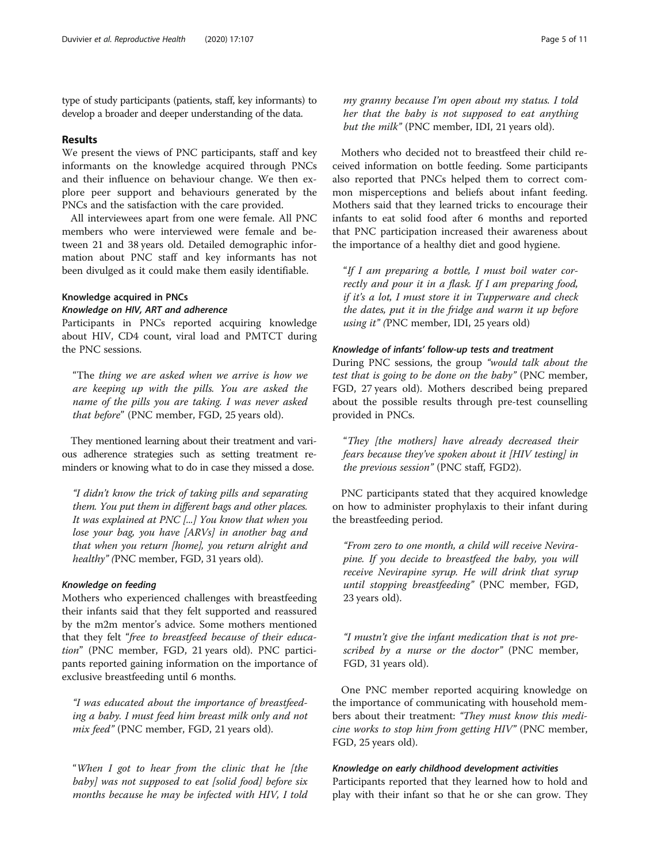type of study participants (patients, staff, key informants) to develop a broader and deeper understanding of the data.

#### Results

We present the views of PNC participants, staff and key informants on the knowledge acquired through PNCs and their influence on behaviour change. We then explore peer support and behaviours generated by the PNCs and the satisfaction with the care provided.

All interviewees apart from one were female. All PNC members who were interviewed were female and between 21 and 38 years old. Detailed demographic information about PNC staff and key informants has not been divulged as it could make them easily identifiable.

#### Knowledge acquired in PNCs

#### Knowledge on HIV, ART and adherence

Participants in PNCs reported acquiring knowledge about HIV, CD4 count, viral load and PMTCT during the PNC sessions.

"The thing we are asked when we arrive is how we are keeping up with the pills. You are asked the name of the pills you are taking. I was never asked that before" (PNC member, FGD, 25 years old).

They mentioned learning about their treatment and various adherence strategies such as setting treatment reminders or knowing what to do in case they missed a dose.

"I didn't know the trick of taking pills and separating them. You put them in different bags and other places. It was explained at PNC [...] You know that when you lose your bag, you have [ARVs] in another bag and that when you return [home], you return alright and healthy" (PNC member, FGD, 31 years old).

#### Knowledge on feeding

Mothers who experienced challenges with breastfeeding their infants said that they felt supported and reassured by the m2m mentor's advice. Some mothers mentioned that they felt "free to breastfeed because of their education" (PNC member, FGD, 21 years old). PNC participants reported gaining information on the importance of exclusive breastfeeding until 6 months.

"I was educated about the importance of breastfeeding a baby. I must feed him breast milk only and not mix feed" (PNC member, FGD, 21 years old).

"When I got to hear from the clinic that he [the baby] was not supposed to eat [solid food] before six months because he may be infected with HIV, I told

my granny because I'm open about my status. I told her that the baby is not supposed to eat anything but the milk" (PNC member, IDI, 21 years old).

Mothers who decided not to breastfeed their child received information on bottle feeding. Some participants also reported that PNCs helped them to correct common misperceptions and beliefs about infant feeding. Mothers said that they learned tricks to encourage their infants to eat solid food after 6 months and reported that PNC participation increased their awareness about the importance of a healthy diet and good hygiene.

"If I am preparing a bottle, I must boil water correctly and pour it in a flask. If I am preparing food, if it's a lot, I must store it in Tupperware and check the dates, put it in the fridge and warm it up before using it" (PNC member, IDI, 25 years old)

#### Knowledge of infants' follow-up tests and treatment

During PNC sessions, the group "would talk about the test that is going to be done on the baby" (PNC member, FGD, 27 years old). Mothers described being prepared about the possible results through pre-test counselling provided in PNCs.

"They [the mothers] have already decreased their fears because they've spoken about it [HIV testing] in the previous session" (PNC staff, FGD2).

PNC participants stated that they acquired knowledge on how to administer prophylaxis to their infant during the breastfeeding period.

"From zero to one month, a child will receive Nevirapine. If you decide to breastfeed the baby, you will receive Nevirapine syrup. He will drink that syrup until stopping breastfeeding" (PNC member, FGD, 23 years old).

"I mustn't give the infant medication that is not prescribed by a nurse or the doctor" (PNC member, FGD, 31 years old).

One PNC member reported acquiring knowledge on the importance of communicating with household members about their treatment: "They must know this medicine works to stop him from getting HIV" (PNC member, FGD, 25 years old).

#### Knowledge on early childhood development activities

Participants reported that they learned how to hold and play with their infant so that he or she can grow. They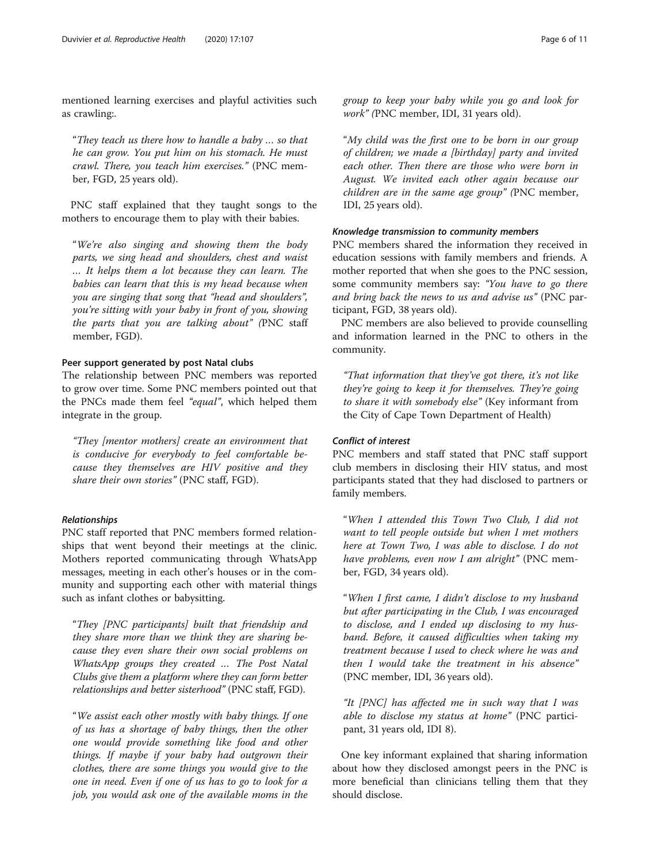mentioned learning exercises and playful activities such as crawling:.

"They teach us there how to handle a baby … so that he can grow. You put him on his stomach. He must crawl. There, you teach him exercises." (PNC member, FGD, 25 years old).

PNC staff explained that they taught songs to the mothers to encourage them to play with their babies.

"We're also singing and showing them the body parts, we sing head and shoulders, chest and waist … It helps them a lot because they can learn. The babies can learn that this is my head because when you are singing that song that "head and shoulders", you're sitting with your baby in front of you, showing the parts that you are talking about" (PNC staff member, FGD).

#### Peer support generated by post Natal clubs

The relationship between PNC members was reported to grow over time. Some PNC members pointed out that the PNCs made them feel "equal", which helped them integrate in the group.

"They [mentor mothers] create an environment that is conducive for everybody to feel comfortable because they themselves are HIV positive and they share their own stories" (PNC staff, FGD).

#### Relationships

PNC staff reported that PNC members formed relationships that went beyond their meetings at the clinic. Mothers reported communicating through WhatsApp messages, meeting in each other's houses or in the community and supporting each other with material things such as infant clothes or babysitting.

"They [PNC participants] built that friendship and they share more than we think they are sharing because they even share their own social problems on WhatsApp groups they created … The Post Natal Clubs give them a platform where they can form better relationships and better sisterhood" (PNC staff, FGD).

"We assist each other mostly with baby things. If one of us has a shortage of baby things, then the other one would provide something like food and other things. If maybe if your baby had outgrown their clothes, there are some things you would give to the one in need. Even if one of us has to go to look for a job, you would ask one of the available moms in the group to keep your baby while you go and look for work" (PNC member, IDI, 31 years old).

"My child was the first one to be born in our group of children; we made a [birthday] party and invited each other. Then there are those who were born in August. We invited each other again because our children are in the same age group" (PNC member, IDI, 25 years old).

#### Knowledge transmission to community members

PNC members shared the information they received in education sessions with family members and friends. A mother reported that when she goes to the PNC session, some community members say: "You have to go there and bring back the news to us and advise us" (PNC participant, FGD, 38 years old).

PNC members are also believed to provide counselling and information learned in the PNC to others in the community.

"That information that they've got there, it's not like they're going to keep it for themselves. They're going to share it with somebody else" (Key informant from the City of Cape Town Department of Health)

#### Conflict of interest

PNC members and staff stated that PNC staff support club members in disclosing their HIV status, and most participants stated that they had disclosed to partners or family members.

"When I attended this Town Two Club, I did not want to tell people outside but when I met mothers here at Town Two, I was able to disclose. I do not have problems, even now I am alright" (PNC member, FGD, 34 years old).

"When I first came, I didn't disclose to my husband but after participating in the Club, I was encouraged to disclose, and I ended up disclosing to my husband. Before, it caused difficulties when taking my treatment because I used to check where he was and then I would take the treatment in his absence" (PNC member, IDI, 36 years old).

"It [PNC] has affected me in such way that I was able to disclose my status at home" (PNC participant, 31 years old, IDI 8).

One key informant explained that sharing information about how they disclosed amongst peers in the PNC is more beneficial than clinicians telling them that they should disclose.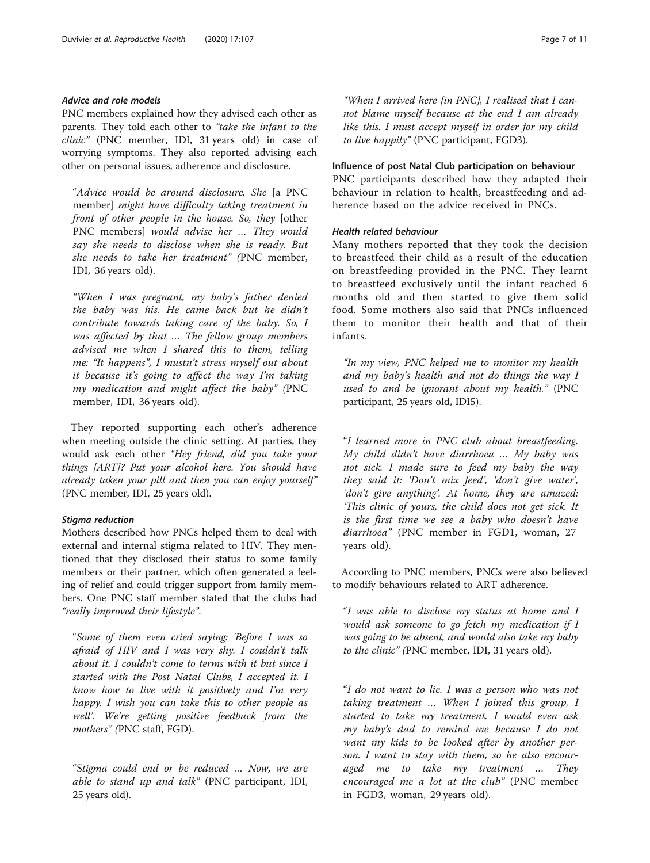#### Advice and role models

PNC members explained how they advised each other as parents. They told each other to "take the infant to the clinic" (PNC member, IDI, 31 years old) in case of worrying symptoms. They also reported advising each other on personal issues, adherence and disclosure.

"Advice would be around disclosure. She [a PNC member] might have difficulty taking treatment in front of other people in the house. So, they [other PNC members] would advise her … They would say she needs to disclose when she is ready. But she needs to take her treatment" (PNC member, IDI, 36 years old).

"When I was pregnant, my baby's father denied the baby was his. He came back but he didn't contribute towards taking care of the baby. So, I was affected by that … The fellow group members advised me when I shared this to them, telling me: "It happens", I mustn't stress myself out about it because it's going to affect the way I'm taking my medication and might affect the baby" (PNC member, IDI, 36 years old).

They reported supporting each other's adherence when meeting outside the clinic setting. At parties, they would ask each other "Hey friend, did you take your things [ART]? Put your alcohol here. You should have already taken your pill and then you can enjoy yourself" (PNC member, IDI, 25 years old).

#### Stigma reduction

Mothers described how PNCs helped them to deal with external and internal stigma related to HIV. They mentioned that they disclosed their status to some family members or their partner, which often generated a feeling of relief and could trigger support from family members. One PNC staff member stated that the clubs had "really improved their lifestyle".

"Some of them even cried saying: 'Before I was so afraid of HIV and I was very shy. I couldn't talk about it. I couldn't come to terms with it but since I started with the Post Natal Clubs, I accepted it. I know how to live with it positively and I'm very happy. I wish you can take this to other people as well'. We're getting positive feedback from the mothers" (PNC staff, FGD).

"Stigma could end or be reduced … Now, we are able to stand up and talk" (PNC participant, IDI, 25 years old).

"When I arrived here [in PNC], I realised that I cannot blame myself because at the end I am already like this. I must accept myself in order for my child to live happily" (PNC participant, FGD3).

#### Influence of post Natal Club participation on behaviour

PNC participants described how they adapted their behaviour in relation to health, breastfeeding and adherence based on the advice received in PNCs.

#### Health related behaviour

Many mothers reported that they took the decision to breastfeed their child as a result of the education on breastfeeding provided in the PNC. They learnt to breastfeed exclusively until the infant reached 6 months old and then started to give them solid food. Some mothers also said that PNCs influenced them to monitor their health and that of their infants.

"In my view, PNC helped me to monitor my health and my baby's health and not do things the way I used to and be ignorant about my health." (PNC participant, 25 years old, IDI5).

"I learned more in PNC club about breastfeeding. My child didn't have diarrhoea … My baby was not sick. I made sure to feed my baby the way they said it: 'Don't mix feed', 'don't give water', 'don't give anything'. At home, they are amazed: 'This clinic of yours, the child does not get sick. It is the first time we see a baby who doesn't have diarrhoea" (PNC member in FGD1, woman, 27 years old).

According to PNC members, PNCs were also believed to modify behaviours related to ART adherence.

"I was able to disclose my status at home and I would ask someone to go fetch my medication if I was going to be absent, and would also take my baby to the clinic" (PNC member, IDI, 31 years old).

"I do not want to lie. I was a person who was not taking treatment … When I joined this group, I started to take my treatment. I would even ask my baby's dad to remind me because I do not want my kids to be looked after by another person. I want to stay with them, so he also encouraged me to take my treatment … They encouraged me a lot at the club" (PNC member in FGD3, woman, 29 years old).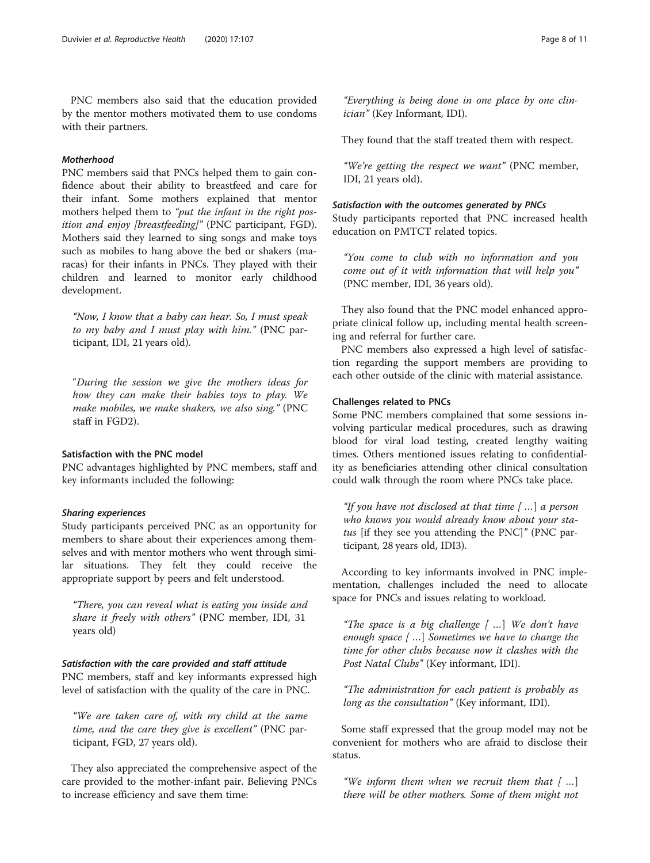PNC members also said that the education provided by the mentor mothers motivated them to use condoms with their partners.

#### Motherhood

PNC members said that PNCs helped them to gain confidence about their ability to breastfeed and care for their infant. Some mothers explained that mentor mothers helped them to "put the infant in the right position and enjoy [breastfeeding]" (PNC participant, FGD). Mothers said they learned to sing songs and make toys such as mobiles to hang above the bed or shakers (maracas) for their infants in PNCs. They played with their children and learned to monitor early childhood development.

"Now, I know that a baby can hear. So, I must speak to my baby and I must play with him." (PNC participant, IDI, 21 years old).

"During the session we give the mothers ideas for how they can make their babies toys to play. We make mobiles, we make shakers, we also sing." (PNC staff in FGD2).

#### Satisfaction with the PNC model

PNC advantages highlighted by PNC members, staff and key informants included the following:

#### Sharing experiences

Study participants perceived PNC as an opportunity for members to share about their experiences among themselves and with mentor mothers who went through similar situations. They felt they could receive the appropriate support by peers and felt understood.

"There, you can reveal what is eating you inside and share it freely with others" (PNC member, IDI, 31 years old)

#### Satisfaction with the care provided and staff attitude

PNC members, staff and key informants expressed high level of satisfaction with the quality of the care in PNC.

"We are taken care of, with my child at the same time, and the care they give is excellent" (PNC participant, FGD, 27 years old).

They also appreciated the comprehensive aspect of the care provided to the mother-infant pair. Believing PNCs to increase efficiency and save them time:

"Everything is being done in one place by one clinician" (Key Informant, IDI).

They found that the staff treated them with respect.

"We're getting the respect we want" (PNC member, IDI, 21 years old).

#### Satisfaction with the outcomes generated by PNCs

Study participants reported that PNC increased health education on PMTCT related topics.

"You come to club with no information and you come out of it with information that will help you" (PNC member, IDI, 36 years old).

They also found that the PNC model enhanced appropriate clinical follow up, including mental health screening and referral for further care.

PNC members also expressed a high level of satisfaction regarding the support members are providing to each other outside of the clinic with material assistance.

#### Challenges related to PNCs

Some PNC members complained that some sessions involving particular medical procedures, such as drawing blood for viral load testing, created lengthy waiting times. Others mentioned issues relating to confidentiality as beneficiaries attending other clinical consultation could walk through the room where PNCs take place.

"If you have not disclosed at that time  $[$  ...] a person who knows you would already know about your status [if they see you attending the PNC]" (PNC participant, 28 years old, IDI3).

According to key informants involved in PNC implementation, challenges included the need to allocate space for PNCs and issues relating to workload.

"The space is a big challenge  $\lceil$  ...] We don't have enough space [...] Sometimes we have to change the time for other clubs because now it clashes with the Post Natal Clubs" (Key informant, IDI).

"The administration for each patient is probably as long as the consultation" (Key informant, IDI).

Some staff expressed that the group model may not be convenient for mothers who are afraid to disclose their status.

"We inform them when we recruit them that  $[$  ...] there will be other mothers. Some of them might not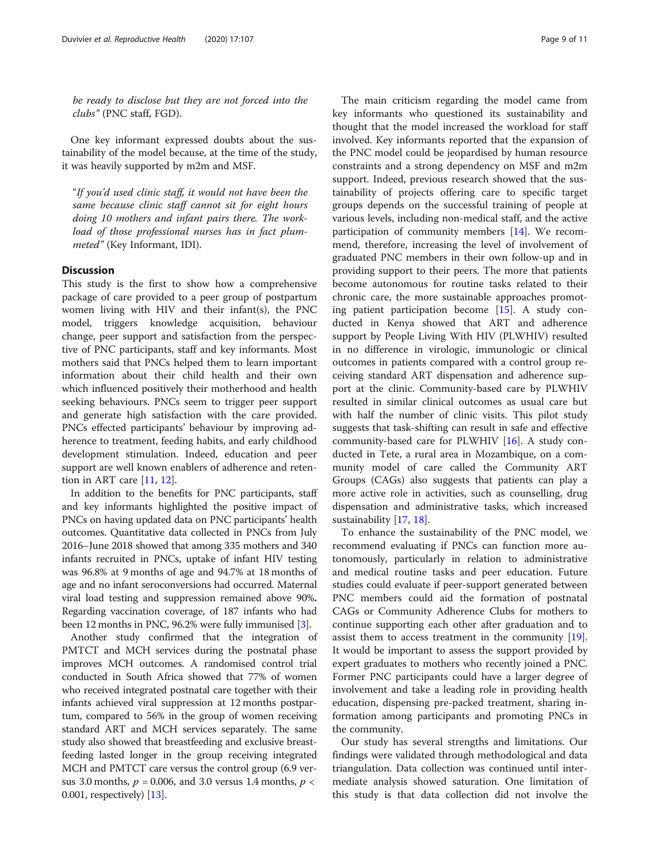be ready to disclose but they are not forced into the clubs" (PNC staff, FGD).

One key informant expressed doubts about the sustainability of the model because, at the time of the study, it was heavily supported by m2m and MSF.

"If you'd used clinic staff, it would not have been the same because clinic staff cannot sit for eight hours doing 10 mothers and infant pairs there. The workload of those professional nurses has in fact plummeted" (Key Informant, IDI).

#### **Discussion**

This study is the first to show how a comprehensive package of care provided to a peer group of postpartum women living with HIV and their infant(s), the PNC model, triggers knowledge acquisition, behaviour change, peer support and satisfaction from the perspective of PNC participants, staff and key informants. Most mothers said that PNCs helped them to learn important information about their child health and their own which influenced positively their motherhood and health seeking behaviours. PNCs seem to trigger peer support and generate high satisfaction with the care provided. PNCs effected participants' behaviour by improving adherence to treatment, feeding habits, and early childhood development stimulation. Indeed, education and peer support are well known enablers of adherence and retention in ART care [\[11](#page-9-0), [12\]](#page-10-0).

In addition to the benefits for PNC participants, staff and key informants highlighted the positive impact of PNCs on having updated data on PNC participants' health outcomes. Quantitative data collected in PNCs from July 2016–June 2018 showed that among 335 mothers and 340 infants recruited in PNCs, uptake of infant HIV testing was 96.8% at 9 months of age and 94.7% at 18 months of age and no infant seroconversions had occurred. Maternal viral load testing and suppression remained above 90%. Regarding vaccination coverage, of 187 infants who had been 12 months in PNC, 96.2% were fully immunised [\[3](#page-9-0)].

Another study confirmed that the integration of PMTCT and MCH services during the postnatal phase improves MCH outcomes. A randomised control trial conducted in South Africa showed that 77% of women who received integrated postnatal care together with their infants achieved viral suppression at 12 months postpartum, compared to 56% in the group of women receiving standard ART and MCH services separately. The same study also showed that breastfeeding and exclusive breastfeeding lasted longer in the group receiving integrated MCH and PMTCT care versus the control group (6.9 versus 3.0 months,  $p = 0.006$ , and 3.0 versus 1.4 months,  $p <$ 0.001, respectively) [[13\]](#page-10-0).

The main criticism regarding the model came from key informants who questioned its sustainability and thought that the model increased the workload for staff involved. Key informants reported that the expansion of the PNC model could be jeopardised by human resource constraints and a strong dependency on MSF and m2m support. Indeed, previous research showed that the sustainability of projects offering care to specific target groups depends on the successful training of people at various levels, including non-medical staff, and the active participation of community members [[14](#page-10-0)]. We recommend, therefore, increasing the level of involvement of graduated PNC members in their own follow-up and in providing support to their peers. The more that patients become autonomous for routine tasks related to their chronic care, the more sustainable approaches promoting patient participation become [\[15](#page-10-0)]. A study conducted in Kenya showed that ART and adherence support by People Living With HIV (PLWHIV) resulted in no difference in virologic, immunologic or clinical outcomes in patients compared with a control group receiving standard ART dispensation and adherence support at the clinic. Community-based care by PLWHIV resulted in similar clinical outcomes as usual care but with half the number of clinic visits. This pilot study suggests that task-shifting can result in safe and effective community-based care for PLWHIV [\[16\]](#page-10-0). A study conducted in Tete, a rural area in Mozambique, on a community model of care called the Community ART Groups (CAGs) also suggests that patients can play a more active role in activities, such as counselling, drug dispensation and administrative tasks, which increased sustainability [\[17,](#page-10-0) [18\]](#page-10-0).

To enhance the sustainability of the PNC model, we recommend evaluating if PNCs can function more autonomously, particularly in relation to administrative and medical routine tasks and peer education. Future studies could evaluate if peer-support generated between PNC members could aid the formation of postnatal CAGs or Community Adherence Clubs for mothers to continue supporting each other after graduation and to assist them to access treatment in the community [\[19](#page-10-0)]. It would be important to assess the support provided by expert graduates to mothers who recently joined a PNC. Former PNC participants could have a larger degree of involvement and take a leading role in providing health education, dispensing pre-packed treatment, sharing information among participants and promoting PNCs in the community.

Our study has several strengths and limitations. Our findings were validated through methodological and data triangulation. Data collection was continued until intermediate analysis showed saturation. One limitation of this study is that data collection did not involve the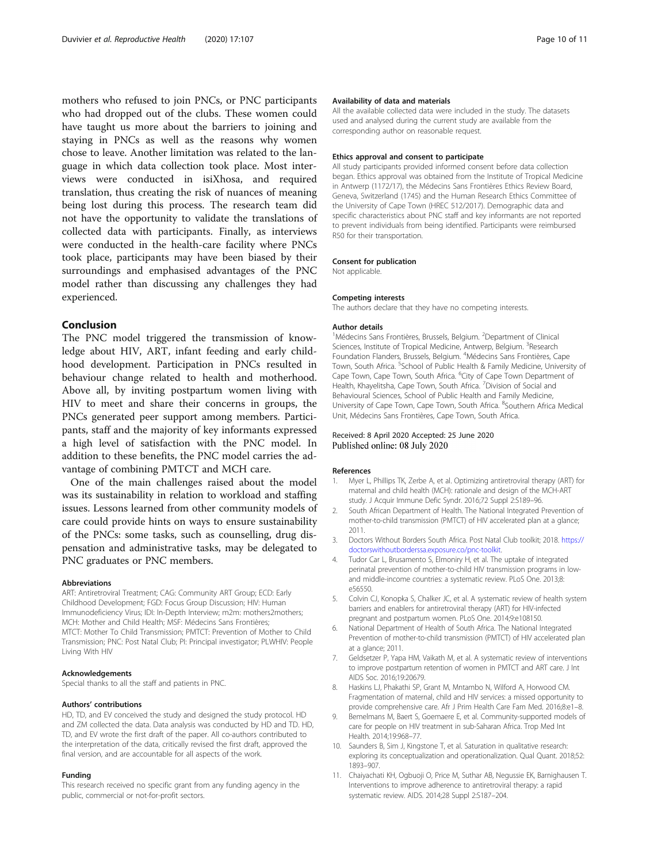<span id="page-9-0"></span>mothers who refused to join PNCs, or PNC participants who had dropped out of the clubs. These women could have taught us more about the barriers to joining and staying in PNCs as well as the reasons why women chose to leave. Another limitation was related to the language in which data collection took place. Most interviews were conducted in isiXhosa, and required translation, thus creating the risk of nuances of meaning being lost during this process. The research team did not have the opportunity to validate the translations of collected data with participants. Finally, as interviews were conducted in the health-care facility where PNCs took place, participants may have been biased by their surroundings and emphasised advantages of the PNC model rather than discussing any challenges they had experienced.

#### Conclusion

The PNC model triggered the transmission of knowledge about HIV, ART, infant feeding and early childhood development. Participation in PNCs resulted in behaviour change related to health and motherhood. Above all, by inviting postpartum women living with HIV to meet and share their concerns in groups, the PNCs generated peer support among members. Participants, staff and the majority of key informants expressed a high level of satisfaction with the PNC model. In addition to these benefits, the PNC model carries the advantage of combining PMTCT and MCH care.

One of the main challenges raised about the model was its sustainability in relation to workload and staffing issues. Lessons learned from other community models of care could provide hints on ways to ensure sustainability of the PNCs: some tasks, such as counselling, drug dispensation and administrative tasks, may be delegated to PNC graduates or PNC members.

#### Abbreviations

ART: Antiretroviral Treatment; CAG: Community ART Group; ECD: Early Childhood Development; FGD: Focus Group Discussion; HIV: Human Immunodeficiency Virus; IDI: In-Depth Interview; m2m: mothers2mothers; MCH: Mother and Child Health; MSF: Médecins Sans Frontières; MTCT: Mother To Child Transmission; PMTCT: Prevention of Mother to Child Transmission; PNC: Post Natal Club; PI: Principal investigator; PLWHIV: People Living With HIV

#### Acknowledgements

Special thanks to all the staff and patients in PNC.

#### Authors' contributions

HD, TD, and EV conceived the study and designed the study protocol. HD and ZM collected the data. Data analysis was conducted by HD and TD. HD, TD, and EV wrote the first draft of the paper. All co-authors contributed to the interpretation of the data, critically revised the first draft, approved the final version, and are accountable for all aspects of the work.

#### Funding

This research received no specific grant from any funding agency in the public, commercial or not-for-profit sectors.

#### Availability of data and materials

All the available collected data were included in the study. The datasets used and analysed during the current study are available from the corresponding author on reasonable request.

#### Ethics approval and consent to participate

All study participants provided informed consent before data collection began. Ethics approval was obtained from the Institute of Tropical Medicine in Antwerp (1172/17), the Médecins Sans Frontières Ethics Review Board, Geneva, Switzerland (1745) and the Human Research Ethics Committee of the University of Cape Town (HREC 512/2017). Demographic data and specific characteristics about PNC staff and key informants are not reported to prevent individuals from being identified. Participants were reimbursed R50 for their transportation.

#### Consent for publication

Not applicable.

#### Competing interests

The authors declare that they have no competing interests.

#### Author details

<sup>1</sup>Médecins Sans Frontières, Brussels, Belgium. <sup>2</sup>Department of Clinical Sciences, Institute of Tropical Medicine, Antwerp, Belgium. <sup>3</sup>Research Foundation Flanders, Brussels, Belgium. <sup>4</sup>Médecins Sans Frontières, Cape Town, South Africa. <sup>5</sup>School of Public Health & Family Medicine, University of Cape Town, Cape Town, South Africa. <sup>6</sup>City of Cape Town Department of Health, Khayelitsha, Cape Town, South Africa. <sup>7</sup> Division of Social and Behavioural Sciences, School of Public Health and Family Medicine, University of Cape Town, Cape Town, South Africa. <sup>8</sup>Southern Africa Medical Unit, Médecins Sans Frontières, Cape Town, South Africa.

#### Received: 8 April 2020 Accepted: 25 June 2020 Published online: 08 July 2020

#### References

- 1. Myer L, Phillips TK, Zerbe A, et al. Optimizing antiretroviral therapy (ART) for maternal and child health (MCH): rationale and design of the MCH-ART study. J Acquir Immune Defic Syndr. 2016;72 Suppl 2:S189–96.
- 2. South African Department of Health. The National Integrated Prevention of mother-to-child transmission (PMTCT) of HIV accelerated plan at a glance; 2011.
- 3. Doctors Without Borders South Africa. Post Natal Club toolkit; 2018. [https://](https://doctorswithoutborderssa.exposure.co/pnc-toolkit) [doctorswithoutborderssa.exposure.co/pnc-toolkit.](https://doctorswithoutborderssa.exposure.co/pnc-toolkit)
- 4. Tudor Car L, Brusamento S, Elmoniry H, et al. The uptake of integrated perinatal prevention of mother-to-child HIV transmission programs in lowand middle-income countries: a systematic review. PLoS One. 2013;8: e56550.
- 5. Colvin CJ, Konopka S, Chalker JC, et al. A systematic review of health system barriers and enablers for antiretroviral therapy (ART) for HIV-infected pregnant and postpartum women. PLoS One. 2014;9:e108150.
- 6. National Department of Health of South Africa. The National Integrated Prevention of mother-to-child transmission (PMTCT) of HIV accelerated plan at a glance; 2011.
- 7. Geldsetzer P, Yapa HM, Vaikath M, et al. A systematic review of interventions to improve postpartum retention of women in PMTCT and ART care. J Int AIDS Soc. 2016;19:20679.
- 8. Haskins LJ, Phakathi SP, Grant M, Mntambo N, Wilford A, Horwood CM. Fragmentation of maternal, child and HIV services: a missed opportunity to provide comprehensive care. Afr J Prim Health Care Fam Med. 2016;8:e1–8.
- 9. Bemelmans M, Baert S, Goemaere E, et al. Community-supported models of care for people on HIV treatment in sub-Saharan Africa. Trop Med Int Health. 2014;19:968–77.
- 10. Saunders B, Sim J, Kingstone T, et al. Saturation in qualitative research: exploring its conceptualization and operationalization. Qual Quant. 2018;52: 1893–907.
- 11. Chaiyachati KH, Ogbuoji O, Price M, Suthar AB, Negussie EK, Barnighausen T. Interventions to improve adherence to antiretroviral therapy: a rapid systematic review. AIDS. 2014;28 Suppl 2:S187–204.